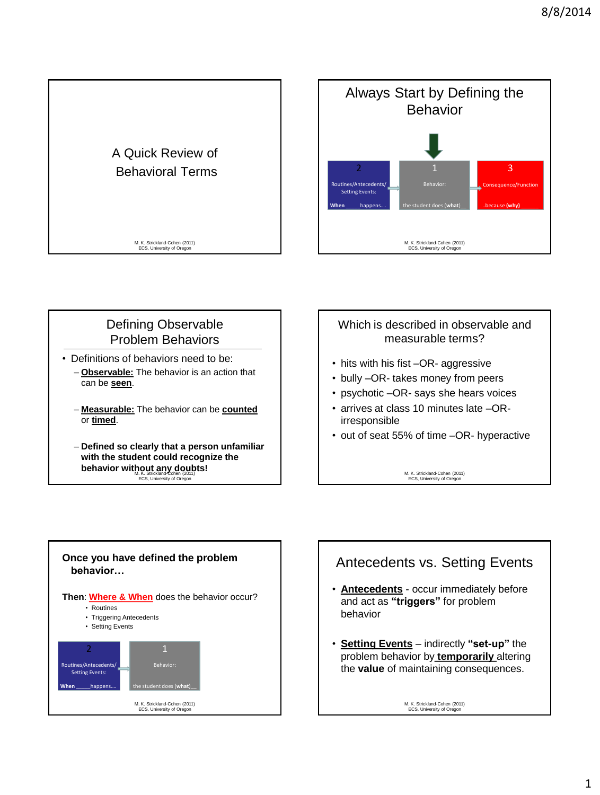



# Defining Observable Problem Behaviors

- Definitions of behaviors need to be:
	- **Observable:** The behavior is an action that can be **seen**.
	- **Measurable:** The behavior can be **counted** or **timed**.
	- **behavior without any doubts!** ECS, University of Oregon – **Defined so clearly that a person unfamiliar with the student could recognize the**

## Which is described in observable and measurable terms?

- hits with his fist –OR- aggressive
- bully –OR- takes money from peers
- psychotic –OR- says she hears voices
- arrives at class 10 minutes late –ORirresponsible
- out of seat 55% of time –OR- hyperactive

M. K. Strickland-Cohen (2011) ECS, University of Oregon



# Antecedents vs. Setting Events

- **Antecedents** occur immediately before and act as **"triggers"** for problem behavior
- **Setting Events** indirectly **"set-up"** the problem behavior by **temporarily** altering the **value** of maintaining consequences.

M. K. Strickland-Cohen (2011) ECS, University of Oregon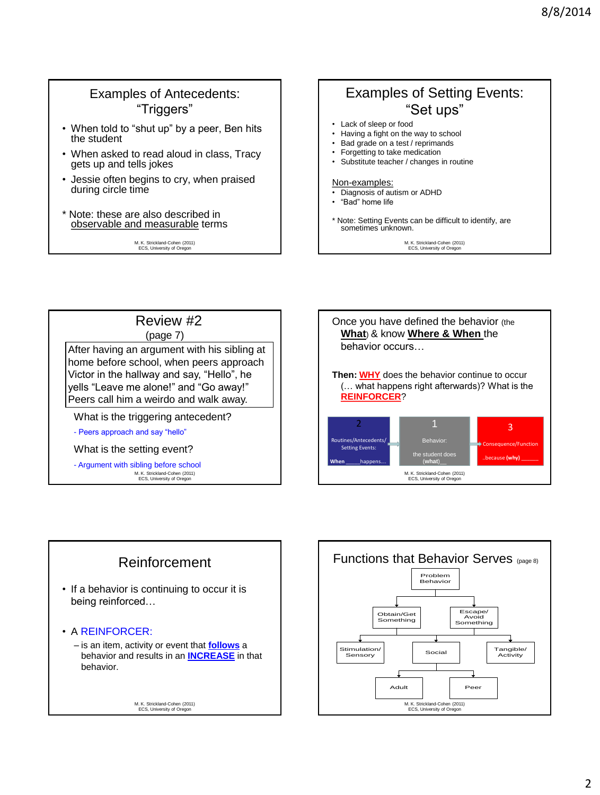## Examples of Antecedents: "Triggers"

- When told to "shut up" by a peer, Ben hits the student
- When asked to read aloud in class, Tracy gets up and tells jokes
- Jessie often begins to cry, when praised during circle time
- \* Note: these are also described in observable and measurable terms

M. K. Strickland-Cohen (2011) ECS, University of Oregon

# Examples of Setting Events: "Set ups"

- Lack of sleep or food
- Having a fight on the way to school
- Bad grade on a test / reprimands • Forgetting to take medication
- Substitute teacher / changes in routine

#### Non-examples:

- Diagnosis of autism or ADHD
- "Bad" home life
- \* Note: Setting Events can be difficult to identify, are sometimes unknown.

M. K. Strickland-Cohen (2011) ECS, University of Oregon



(page 7)

After having an argument with his sibling at home before school, when peers approach Victor in the hallway and say, "Hello", he yells "Leave me alone!" and "Go away!" Peers call him a weirdo and walk away.

What is the triggering antecedent?

- Peers approach and say "hello"

What is the setting event?

M. K. Strickland-Cohen (2011) ECS, University of Oregon - Argument with sibling before school





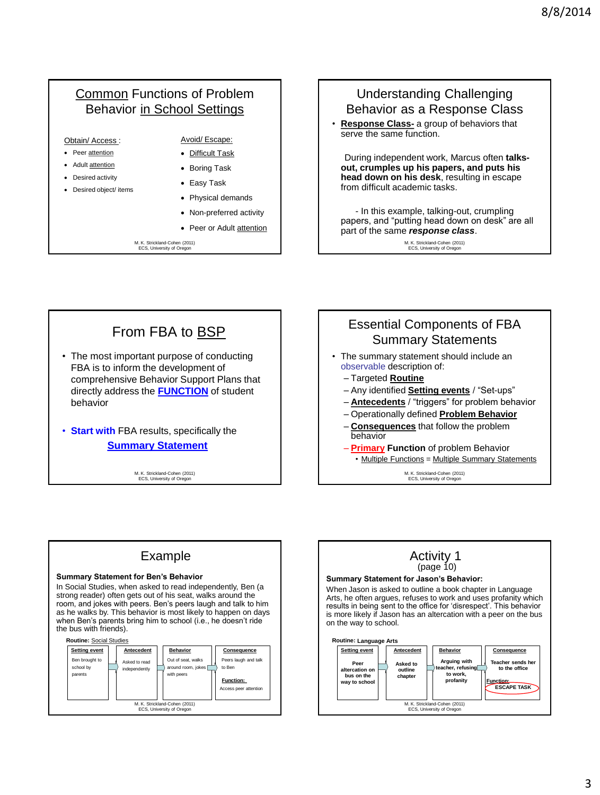# Common Functions of Problem Behavior in School Settings

- Obtain/ Access :
- Peer attention
- Adult attention
- Desired activity
- Desired object/ items
- Avoid/ Escape: Difficult Task
- Boring Task
- Easy Task
- Physical demands
- Non-preferred activity
- Peer or Adult attention

M. K. Strickland-Cohen (2011) ECS, University of Orego



M. K. Strickland-Cohen (2011) ECS, University of Oregon

# From FBA to BSP

• The most important purpose of conducting FBA is to inform the development of comprehensive Behavior Support Plans that directly address the **FUNCTION** of student behavior

• **Start with** FBA results, specifically the **Summary Statement**

> M. K. Strickland-Cohen (2011) ECS, University of Oregon



# Example

#### **Summary Statement for Ben's Behavior**

In Social Studies, when asked to read independently, Ben (a strong reader) often gets out of his seat, walks around the room, and jokes with peers. Ben"s peers laugh and talk to him as he walks by. This behavior is most likely to happen on days when Ben's parents bring him to school (i.e., he doesn't ride the bus with friends).





### Activity 1  $(page 10)$

#### **Summary Statement for Jason's Behavior:**

When Jason is asked to outline a book chapter in Language Arts, he often argues, refuses to work and uses profanity which results in being sent to the office for "disrespect". This behavior is more likely if Jason has an altercation with a peer on the bus on the way to school.

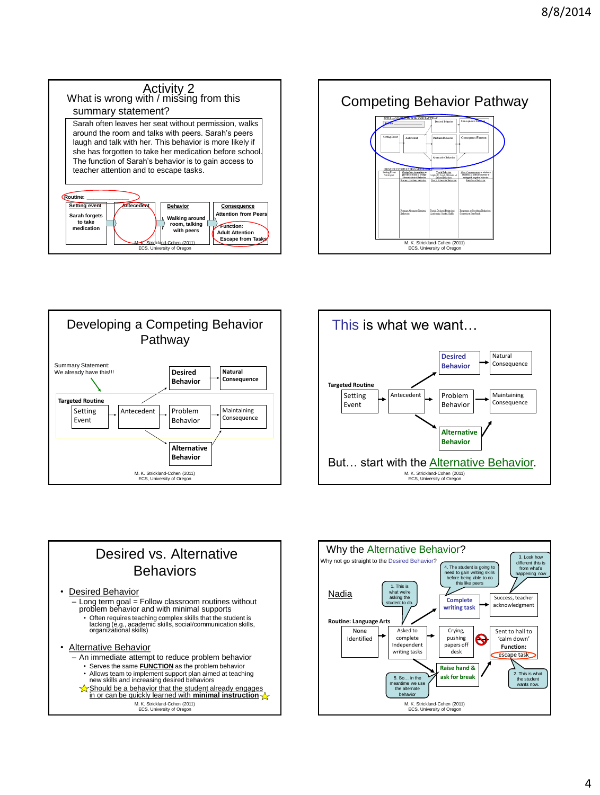









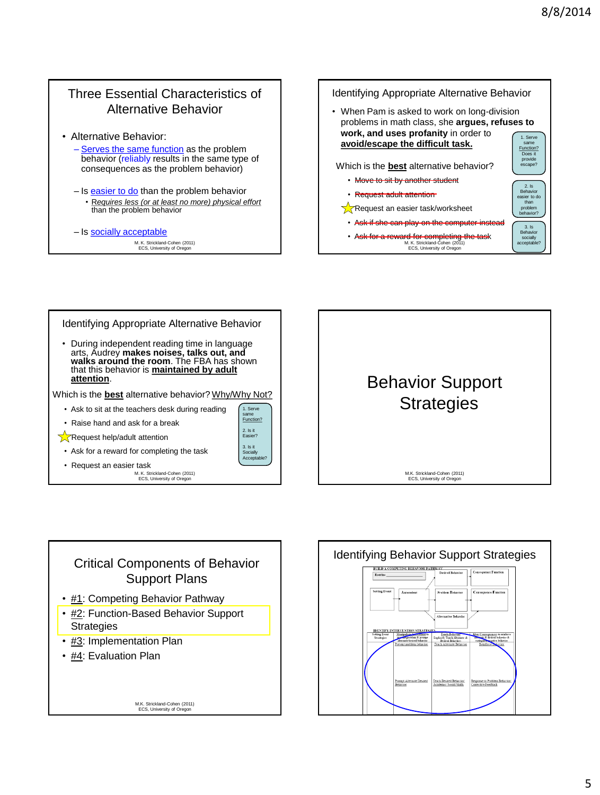#### M. K. Strickland-Cohen (2011) ECS, University of Oregon Three Essential Characteristics of Alternative Behavior • Alternative Behavior: – Serves the same function as the problem behavior (reliably results in the same type of consequences as the problem behavior) – Is easier to do than the problem behavior • R*equires less (or at least no more) physical effort* than the problem behavior – Is socially acceptable M. K. Strickland-Cohen (2011) ECS, University of Oregon Identifying Appropriate Alternative Behavior • When Pam is asked to work on long-division problems in math class, she **argues, refuses to work, and uses profanity** in order to **avoid/escape the difficult task.** Which is the **best** alternative behavior? • Move to sit by another student • Request adult attention **Request an easier task/worksheet** Ask if she can play on the computer instead • Ask for a reward for completing the task 1. Serve same Function? Does it provide escape? 2. Is Behavior easier to do than problem havior? 3. Is<br>Behavi Behavior socially acceptable?

M. K. Strickland-Cohen (2011) ECS, University of Oregon Identifying Appropriate Alternative Behavior • During independent reading time in language arts, Audrey **makes noises, talks out, and walks around the room**. The FBA has shown that this behavior is **maintained by adult attention**. Which is the **best** alternative behavior? Why/Why Not? • Ask to sit at the teachers desk during reading • Raise hand and ask for a break **Request help/adult attention** • Ask for a reward for completing the task • Request an easier task 1. Serv same<br>Function? 2. Is it Easier? 3. Is it Socially Acceptable?



# M.K. Strickland-Cohen (2011) Critical Components of Behavior Support Plans • #1: Competing Behavior Pathway • #2: Function-Based Behavior Support **Strategies** • #3: Implementation Plan • #4: Evaluation Plan

ECS, University of Or

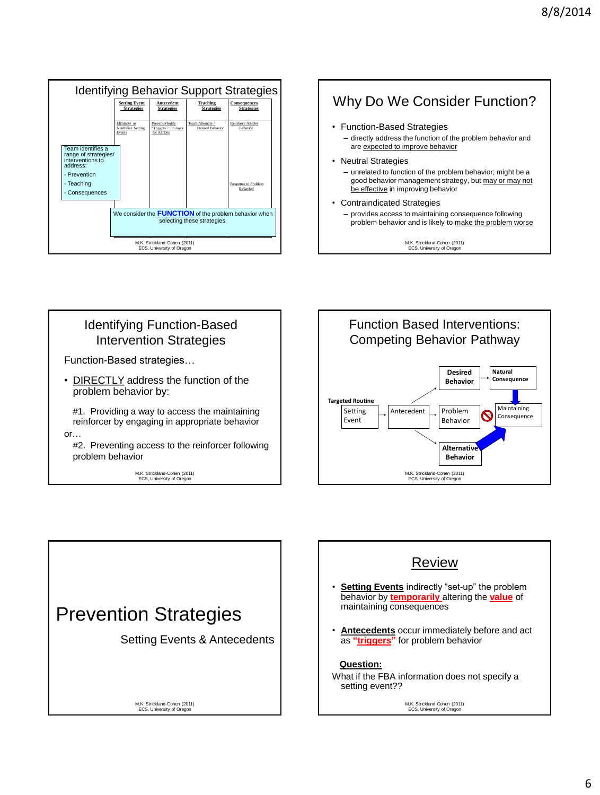| <b>Identifying Behavior Support Strategies</b>                                            |                                                                                             |                                                      |                                       |                                   |  |  |  |  |  |
|-------------------------------------------------------------------------------------------|---------------------------------------------------------------------------------------------|------------------------------------------------------|---------------------------------------|-----------------------------------|--|--|--|--|--|
|                                                                                           | <b>Setting Event</b><br><b>Strategies</b>                                                   | Antecedent<br><b>Strategies</b>                      | <b>Teaching</b><br><b>Strategies</b>  | Consequences<br><b>Strategies</b> |  |  |  |  |  |
|                                                                                           | Eliminate or<br>Neutralize Setting<br>Events                                                | Prevent/Modify<br>"Triggers"/ Prompts<br>for Alt/Des | Teach Alternate /<br>Desired Behavior | Reinforce Alt/Des<br>Behavior     |  |  |  |  |  |
| Team identifies a<br>range of strategies/<br>interventions to<br>address:<br>- Prevention |                                                                                             |                                                      |                                       |                                   |  |  |  |  |  |
| - Teaching<br>Consequences                                                                |                                                                                             |                                                      |                                       | Response to Problem<br>Behavior/  |  |  |  |  |  |
|                                                                                           | We consider the <b>FUNCTION</b> of the problem behavior when<br>selecting these strategies. |                                                      |                                       |                                   |  |  |  |  |  |
| M.K. Strickland-Cohen (2011)<br>ECS. University of Oregon                                 |                                                                                             |                                                      |                                       |                                   |  |  |  |  |  |

# Why Do We Consider Function?

• Function-Based Strategies

– directly address the function of the problem behavior and are expected to improve behavior

• Neutral Strategies

– unrelated to function of the problem behavior; might be a good behavior management strategy, but may or may not be effective in improving behavior

• Contraindicated Strategies

– provides access to maintaining consequence following problem behavior and is likely to make the problem worse

M.K. Strickland-Cohen (2011) ECS, University of Oregon

# Identifying Function-Based Intervention Strategies Function-Based strategies…

• DIRECTLY address the function of the problem behavior by:

 #1. Providing a way to access the maintaining reinforcer by engaging in appropriate behavior

or…

#2. Preventing access to the reinforcer following problem behavior

M.K. Strickland-Cohen (2011) ECS, University of Oregon





# Review

- **Setting Events** indirectly "set-up" the problem behavior by **temporarily** altering the **value** of maintaining consequences
- **Antecedents** occur immediately before and act as **"triggers"** for problem behavior

#### **Question:**

What if the FBA information does not specify a setting event??

> M.K. Strickland-Cohen (2011) ECS, University of Oregon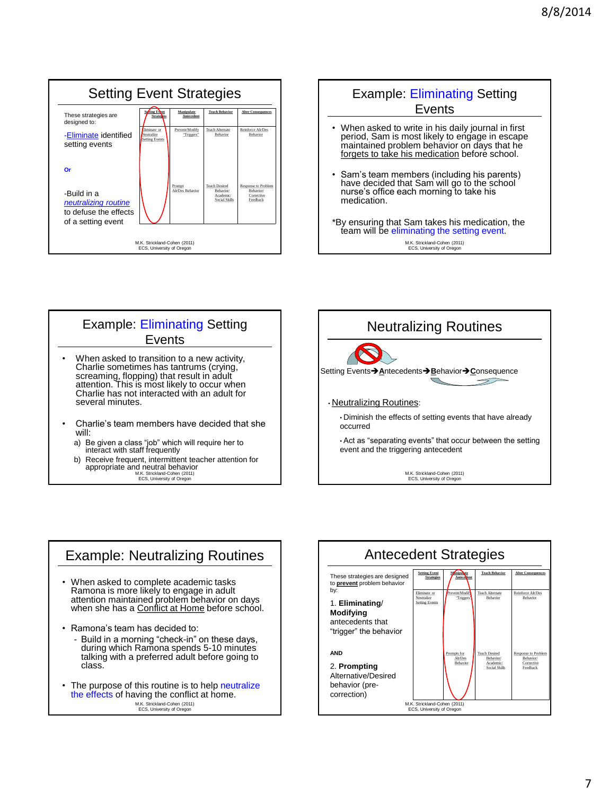| <b>Setting Event Strategies</b>                                                    |                                                     |                              |                                                                |                                                            |  |  |  |
|------------------------------------------------------------------------------------|-----------------------------------------------------|------------------------------|----------------------------------------------------------------|------------------------------------------------------------|--|--|--|
| These strategies are<br>designed to:                                               | Softing Event<br><b>Stratedies</b>                  | Manipulate<br>Antecedent     | <b>Teach Behavior</b>                                          | <b>Alter Consequences</b>                                  |  |  |  |
| -Eliminate identified<br>setting events                                            | Eliminate or<br>Neutralize<br><b>Setting Events</b> | Prevent/Modify<br>"Triggers" | <b>Teach Alternate</b><br><b>Rehavior</b>                      | Reinforce Alt/Des<br>Rehavior                              |  |  |  |
| Or                                                                                 |                                                     |                              |                                                                |                                                            |  |  |  |
| -Build in a<br>neutralizing routine<br>to defuse the effects<br>of a setting event |                                                     | Prompt<br>Alt/Des Behavior   | <b>Teach Desired</b><br>Rehavior/<br>Academic/<br>Social Skilk | Response to Problem<br>Rehavior/<br>Corrective<br>Feedback |  |  |  |
| M.K. Strickland-Cohen (2011)<br>ECS. University of Oregon                          |                                                     |                              |                                                                |                                                            |  |  |  |





M.K. Strickland-Cohen (2011) ECS, University of Oregon



## Example: Neutralizing Routines • When asked to complete academic tasks Ramona is more likely to engage in adult attention maintained problem behavior on days<br>when she has a <u>Conflict at Home</u> before school. • Ramona"s team has decided to: - Build in a morning "check-in" on these days, during which Ramona spends 5-10 minutes talking with a preferred adult before going to class. • The purpose of this routine is to help neutralize

M.K. Strickland-Cohen (2011) ECS, University of Oregon the effects of having the conflict at home.

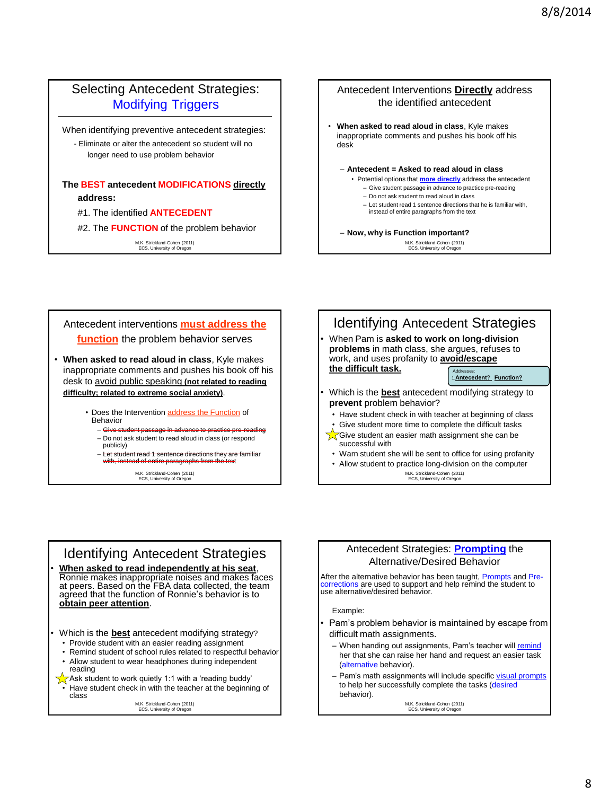## Selecting Antecedent Strategies: Modifying Triggers

When identifying preventive antecedent strategies:

- Eliminate or alter the antecedent so student will no longer need to use problem behavior

### **The BEST antecedent MODIFICATIONS directly address:**

#### #1. The identified **ANTECEDENT**

#2. The **FUNCTION** of the problem behavior

M.K. Strickland-Cohen (2011) ECS, University of Oregon

#### Antecedent Interventions **Directly** address the identified antecedent

• **When asked to read aloud in class**, Kyle makes inappropriate comments and pushes his book off his desk

#### – **Antecedent = Asked to read aloud in class**

- Potential options that **more directly** address the antecedent – Give student passage in advance to practice pre-reading
	- Do not ask student to read aloud in class
	- Let student read 1 sentence directions that he is familiar with,
	- instead of entire paragraphs from the text
- **Now, why is Function important?**

M.K. Strickland-Cohen (2011) ECS, University of Oregon

### Antecedent interventions **must address the function** the problem behavior serves • **When asked to read aloud in class**, Kyle makes inappropriate comments and pushes his book off his desk to avoid public speaking **(not related to reading difficulty; related to extreme social anxiety)**.

- Does the Intervention address the Function of Behavior
	- $-$  Give students – Do not ask student to read aloud in class (or respond
	- publicly)
	- Let student read 1 sentence directions they are familiar with, instead of entire paragraphs from the text

M.K. Strickland-Cohen (2011) ECS, University of Oregon



# Identifying Antecedent Strategies

- **When asked to read independently at his seat**, Ronnie makes inappropriate noises and makes faces at peers. Based on the FBA data collected, the team agreed that the function of Ronnie"s behavior is to **obtain peer attention**.
- Which is the **best** antecedent modifying strategy?
- Provide student with an easier reading assignment
- Remind student of school rules related to respectful behavior Allow student to wear headphones during independent reading
- $\sqrt{\phantom{a}}$  Ask student to work quietly 1:1 with a 'reading buddy' Have student check in with the teacher at the beginning of

class

M.K. Strickland-Cohen (2011) ECS, University of Or

#### Antecedent Strategies: **Prompting** the Alternative/Desired Behavior

After the alternative behavior has been taught, Prompts and Precorrections are used to support and help remind the student to use alternative/desired behavior.

Example:

- Pam's problem behavior is maintained by escape from difficult math assignments.
	- When handing out assignments, Pam's teacher will remind her that she can raise her hand and request an easier task (alternative behavior).
	- Pam's math assignments will include specific visual prompts to help her successfully complete the tasks (desired behavior).

M.K. Strickland-Cohen (2011) ECS, University of Oregon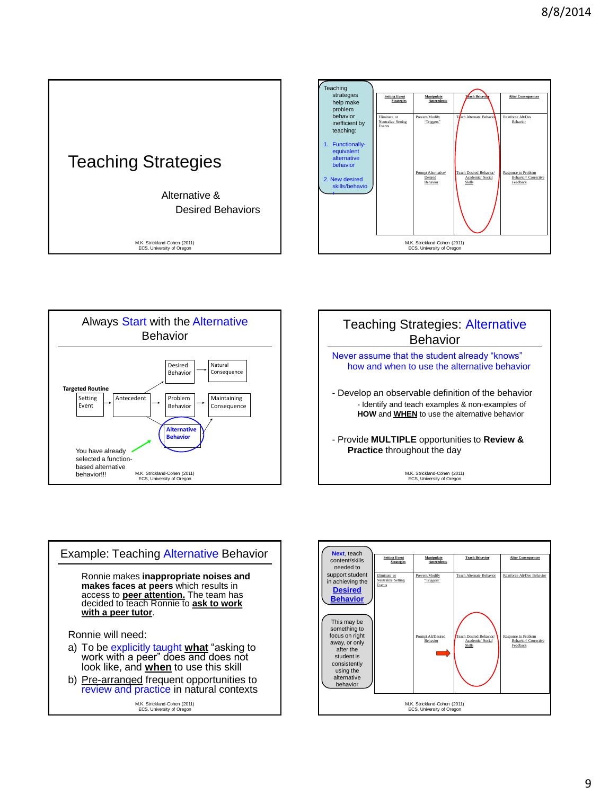







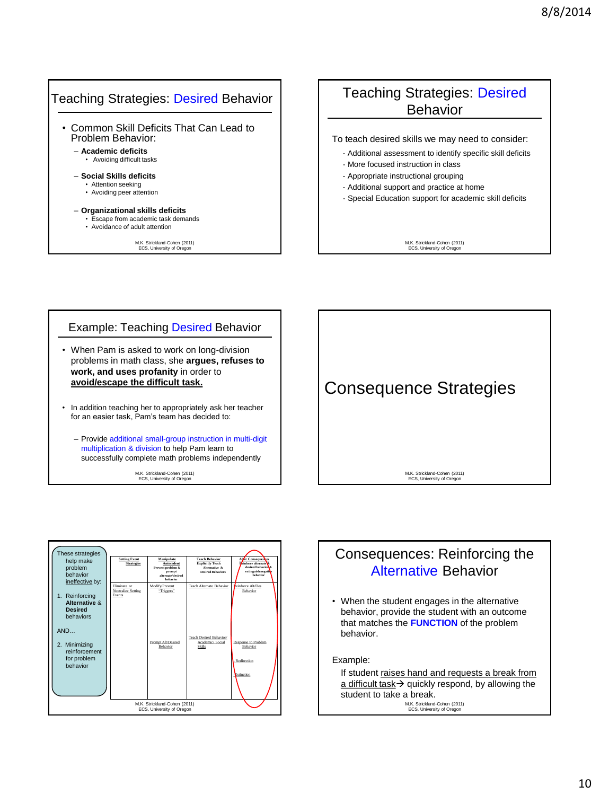### Teaching Strategies: Desired Behavior • Common Skill Deficits That Can Lead to Problem Behavior: – **Academic deficits** • Avoiding difficult tasks – **Social Skills deficits** • Attention seeking • Avoiding peer attention – **Organizational skills deficits** • Escape from academic task demands • Avoidance of adult attention

M.K. Strickland-Cohen (2011) ECS, University of Oregon

# Teaching Strategies: Desired Behavior

To teach desired skills we may need to consider:

- Additional assessment to identify specific skill deficits
- More focused instruction in class
- Appropriate instructional grouping
- Additional support and practice at home
- Special Education support for academic skill deficits

M.K. Strickland-Cohen (2011) ECS, University of Oregon

## • When Pam is asked to work on long-division Example: Teaching Desired Behavior

- problems in math class, she **argues, refuses to work, and uses profanity** in order to **avoid/escape the difficult task.**
- In addition teaching her to appropriately ask her teacher for an easier task, Pam"s team has decided to:
	- Provide additional small-group instruction in multi-digit multiplication & division to help Pam learn to successfully complete math problems independently

M.K. Strickland-Cohen (2011) ECS, University of Oregon





# Consequences: Reinforcing the Alternative Behavior

• When the student engages in the alternative behavior, provide the student with an outcome that matches the **FUNCTION** of the problem behavior.

Example:

M.K. Strickland-Cohen (2011) ECS, University of Oregon If student raises hand and requests a break from a difficult task $\rightarrow$  quickly respond, by allowing the student to take a break.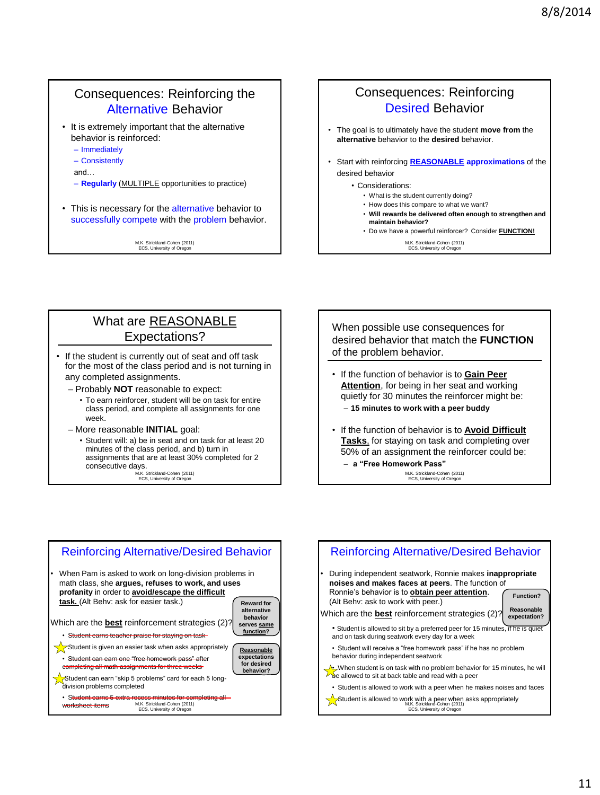# Consequences: Reinforcing the Alternative Behavior

- It is extremely important that the alternative behavior is reinforced:
	- Immediately
	- Consistently
	- and…
	- **Regularly** (MULTIPLE opportunities to practice)
- This is necessary for the alternative behavior to successfully compete with the problem behavior.

M.K. Strickland-Cohen (2011) ECS, University of Oregon

## Consequences: Reinforcing Desired Behavior

- The goal is to ultimately have the student **move from** the **alternative** behavior to the **desired** behavior.
- Start with reinforcing **REASONABLE approximations** of the desired behavior

• Considerations:

- What is the student currently doing?
- How does this compare to what we want?
- **Will rewards be delivered often enough to strengthen and maintain behavior?**
- Do we have a powerful reinforcer? Consider **FUNCTION!**

M.K. Strickland-Cohen (2011) ECS, University of Oregon

# What are REASONABLE Expectations?

- If the student is currently out of seat and off task for the most of the class period and is not turning in any completed assignments.
	- Probably **NOT** reasonable to expect:
		- To earn reinforcer, student will be on task for entire class period, and complete all assignments for one week.

#### – More reasonable **INITIAL** goal:

M.K. Strickland-Cohen (2011) • Student will: a) be in seat and on task for at least 20 minutes of the class period, and b) turn in assignments that are at least 30% completed for 2 consecutive days.

ECS, University of Oregon

When possible use consequences for desired behavior that match the **FUNCTION** of the problem behavior.

- If the function of behavior is to **Gain Peer Attention**, for being in her seat and working quietly for 30 minutes the reinforcer might be: – **15 minutes to work with a peer buddy**
- If the function of behavior is to **Avoid Difficult Tasks**, for staying on task and completing over
- 50% of an assignment the reinforcer could be:

– **a "Free Homework Pass"**

M.K. Strickland-Cohen (2011) ECS, University of Oregon



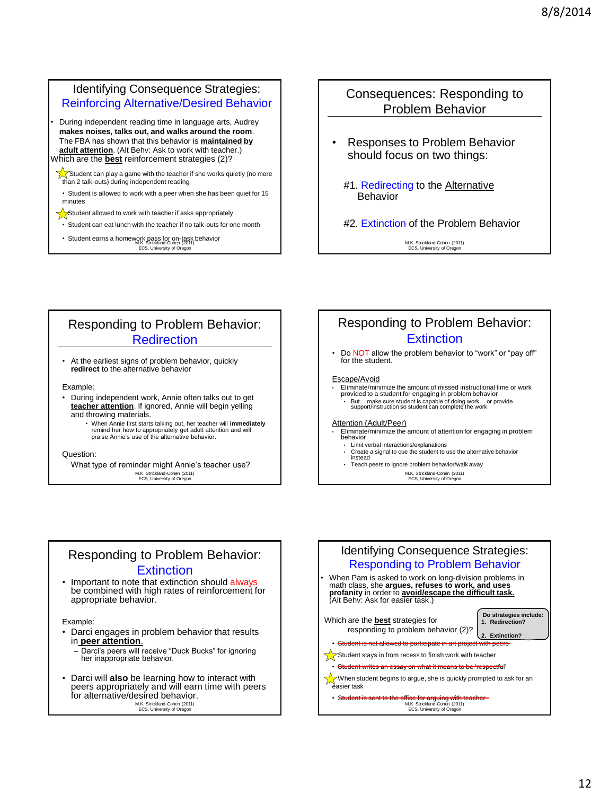### Identifying Consequence Strategies: Reinforcing Alternative/Desired Behavior

• During independent reading time in language arts, Audrey **makes noises, talks out, and walks around the room**. The FBA has shown that this behavior is **maintained by adult attention**. (Alt Behv: Ask to work with teacher.) Which are the **best** reinforcement strategies (2)?

 $\sqrt{\ }$ Student can play a game with the teacher if she works quietly (no more than 2 talk-outs) during independent reading

• Student is allowed to work with a peer when she has been quiet for 15 minutes

Student allowed to work with teacher if asks appropriately

• Student can eat lunch with the teacher if no talk-outs for one month

• Student earns a homework pass for on-task behavior<br>M.K. Strickland-Cohen (2011) ECS, University of Orego

### Consequences: Responding to Problem Behavior

- Responses to Problem Behavior should focus on two things:
	- #1. Redirecting to the Alternative Behavior
	- #2. Extinction of the Problem Behavior

M.K. Strickland-Cohen (2011) ECS, University of Oregon

# Responding to Problem Behavior: **Redirection**

• At the earliest signs of problem behavior, quickly **redirect** to the alternative behavior

#### Example:

- During independent work, Annie often talks out to get **teacher attention**. If ignored, Annie will begin yelling and throwing materials.
	- When Annie first starts talking out, her teacher will **immediately** remind her how to appropriately get adult attention and will praise Annie"s use of the alternative behavior.

#### Question:

M.K. Strickland-Cohen (2011) ECS, University of Oregon What type of reminder might Annie"s teacher use?

## Responding to Problem Behavior: **Extinction**

• Do NOT allow the problem behavior to "work" or "pay off" for the student.

#### Escape/Avoid

- Eliminate/minimize the amount of missed instructional time or work provided to a student for engaging in problem behavior
	- But… make sure student is capable of doing work… or provide support/instruction so student can complete the work

#### Attention (Adult/Peer)

- Eliminate/minimize the amount of attention for engaging in problem behavior
	- Limit verbal interactions/explanations
	- Create a signal to cue the student to use the alternative behavior instead
	- Teach peers to ignore problem behavior/walk away

M.K. Strickland-Cohen (2011) ECS, University of Oregon

### Responding to Problem Behavior: Extinction

Important to note that extinction should always be combined with high rates of reinforcement for appropriate behavior.

Example:

- Darci engages in problem behavior that results in **peer attention**.
	- Darci"s peers will receive "Duck Bucks" for ignoring her inappropriate behavior.
- M.K. Strickland-Cohen (2011) ECS, University of Oregon • Darci will **also** be learning how to interact with peers appropriately and will earn time with peers for alternative/desired behavior.